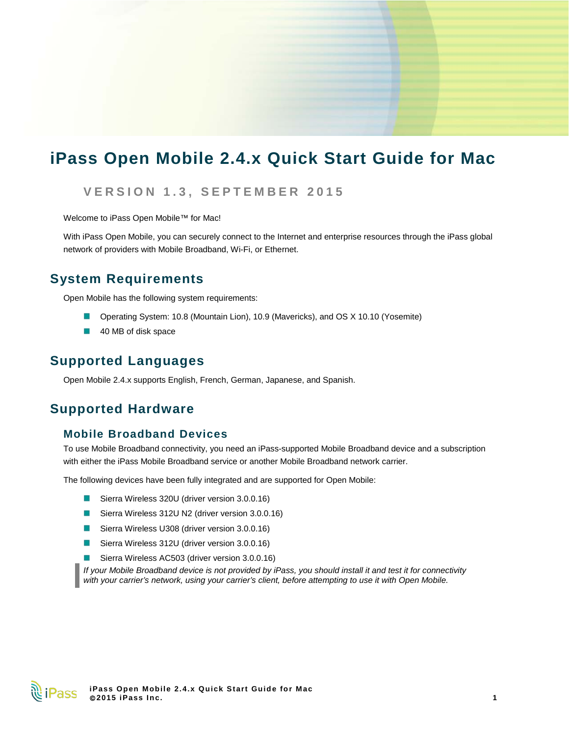# **iPass Open Mobile 2.4.x Quick Start Guide for Mac**

### **VERSION 1. 3 , SEPTEMBER 201 5**

Welcome to iPass Open Mobile™ for Mac!

With iPass Open Mobile, you can securely connect to the Internet and enterprise resources through the iPass global network of providers with Mobile Broadband, Wi-Fi, or Ethernet.

### **System Requirements**

Open Mobile has the following system requirements:

- Operating System: 10.8 (Mountain Lion), 10.9 (Mavericks), and OS X 10.10 (Yosemite)
- 40 MB of disk space

### **Supported Languages**

Open Mobile 2.4.x supports English, French, German, Japanese, and Spanish.

### **Supported Hardware**

### **Mobile Broadband Devices**

To use Mobile Broadband connectivity, you need an iPass-supported Mobile Broadband device and a subscription with either the iPass Mobile Broadband service or another Mobile Broadband network carrier.

The following devices have been fully integrated and are supported for Open Mobile:

- $\mathbb{R}^3$ Sierra Wireless 320U (driver version 3.0.0.16)
- Sierra Wireless 312U N2 (driver version 3.0.0.16)
- E Sierra Wireless U308 (driver version 3.0.0.16)
- Sierra Wireless 312U (driver version 3.0.0.16) 國
- Sierra Wireless AC503 (driver version 3.0.0.16)

*If your Mobile Broadband device is not provided by iPass, you should install it and test it for connectivity with your carrier's network, using your carrier's client, before attempting to use it with Open Mobile.*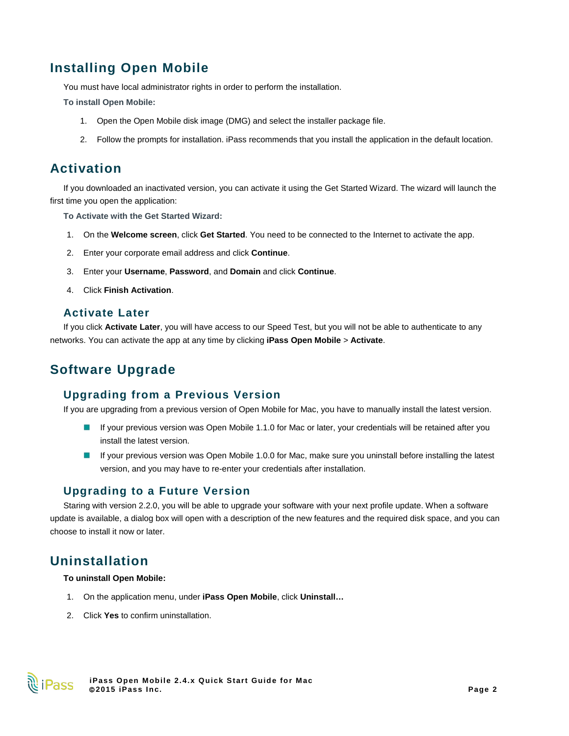# **Installing Open Mobile**

You must have local administrator rights in order to perform the installation.

**To install Open Mobile:**

- 1. Open the Open Mobile disk image (DMG) and select the installer package file.
- 2. Follow the prompts for installation. iPass recommends that you install the application in the default location.

## **Activation**

If you downloaded an inactivated version, you can activate it using the Get Started Wizard. The wizard will launch the first time you open the application:

**To Activate with the Get Started Wizard:**

- 1. On the **Welcome screen**, click **Get Started**. You need to be connected to the Internet to activate the app.
- 2. Enter your corporate email address and click **Continue**.
- 3. Enter your **Username**, **Password**, and **Domain** and click **Continue**.
- 4. Click **Finish Activation**.

### **Activate Later**

If you click **Activate Later**, you will have access to our Speed Test, but you will not be able to authenticate to any networks. You can activate the app at any time by clicking **iPass Open Mobile** > **Activate**.

# **Software Upgrade**

### **Upgrading from a Previous Version**

If you are upgrading from a previous version of Open Mobile for Mac, you have to manually install the latest version.

- If your previous version was Open Mobile 1.1.0 for Mac or later, your credentials will be retained after you 國 install the latest version.
- If your previous version was Open Mobile 1.0.0 for Mac, make sure you uninstall before installing the latest version, and you may have to re-enter your credentials after installation.

### **Upgrading to a Future Version**

Staring with version 2.2.0, you will be able to upgrade your software with your next profile update. When a software update is available, a dialog box will open with a description of the new features and the required disk space, and you can choose to install it now or later.

### **Uninstallation**

#### **To uninstall Open Mobile:**

- 1. On the application menu, under **iPass Open Mobile**, click **Uninstall…**
- 2. Click **Yes** to confirm uninstallation.

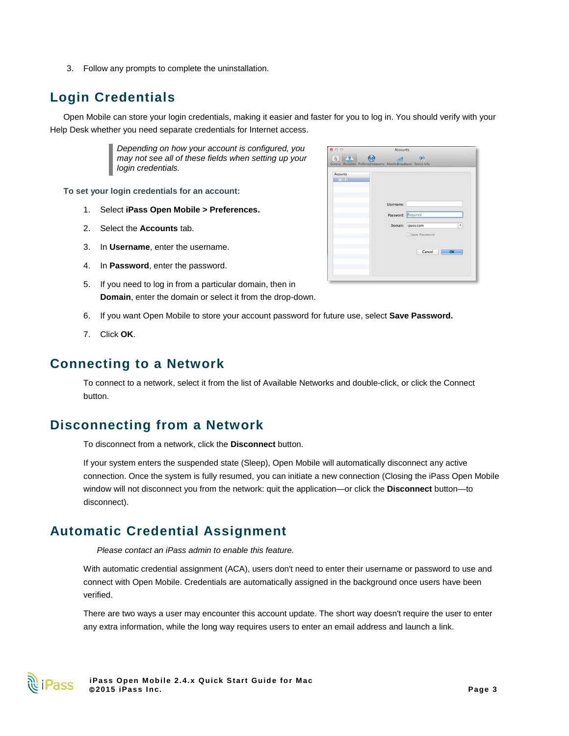3. Follow any prompts to complete the uninstallation.

# **Login Credentials**

Open Mobile can store your login credentials, making it easier and faster for you to log in. You should verify with your Help Desk whether you need separate credentials for Internet access.

> *Depending on how your account is configured, you may not see all of these fields when setting up your login credentials.*

**To set your login credentials for an account:**

- 1. Select **iPass Open Mobile > Preferences.**
- 2. Select the **Accounts** tab.
- 3. In **Username**, enter the username.
- 4. In **Password**, enter the password.
- 5. If you need to log in from a particular domain, then in **Domain**, enter the domain or select it from the drop-down.
- 6. If you want Open Mobile to store your account password for future use, select **Save Password.**
- 7. Click **OK**.

### **Connecting to a Network**

To connect to a network, select it from the list of Available Networks and double-click, or click the Connect button.

### **Disconnecting from a Network**

To disconnect from a network, click the **Disconnect** button.

If your system enters the suspended state (Sleep), Open Mobile will automatically disconnect any active connection. Once the system is fully resumed, you can initiate a new connection (Closing the iPass Open Mobile window will not disconnect you from the network: quit the application—or click the **Disconnect** button—to disconnect).

### **Automatic Credential Assignment**

*Please contact an iPass admin to enable this feature.*

With automatic credential assignment (ACA), users don't need to enter their username or password to use and connect with Open Mobile. Credentials are automatically assigned in the background once users have been verified.

There are two ways a user may encounter this account update. The short way doesn't require the user to enter any extra information, while the long way requires users to enter an email address and launch a link.



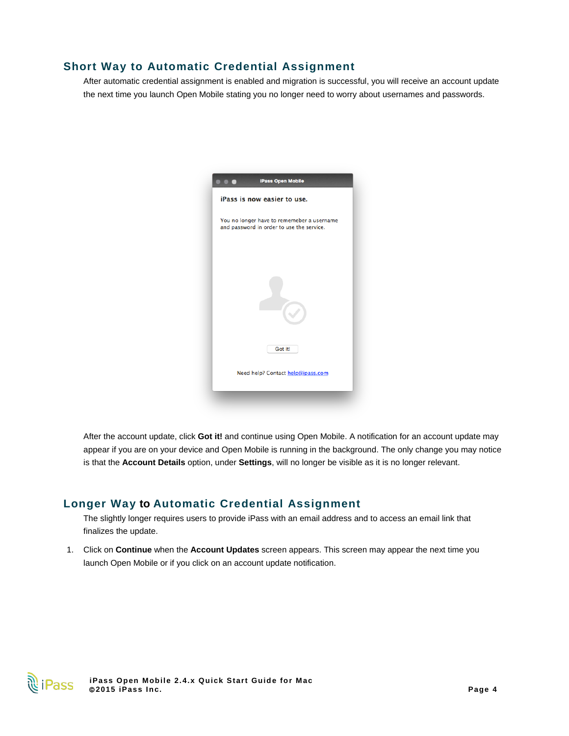### **Short Way to Automatic Credential Assignment**

After automatic credential assignment is enabled and migration is successful, you will receive an account update the next time you launch Open Mobile stating you no longer need to worry about usernames and passwords.



After the account update, click **Got it!** and continue using Open Mobile. A notification for an account update may appear if you are on your device and Open Mobile is running in the background. The only change you may notice is that the **Account Details** option, under **Settings**, will no longer be visible as it is no longer relevant.

### **Longer Way to Automatic Credential Assignment**

The slightly longer requires users to provide iPass with an email address and to access an email link that finalizes the update.

1. Click on **Continue** when the **Account Updates** screen appears. This screen may appear the next time you launch Open Mobile or if you click on an account update notification.

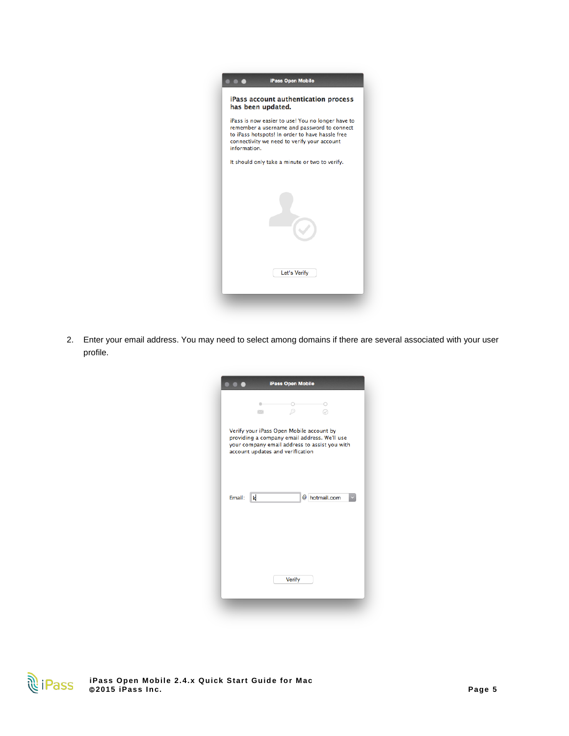

2. Enter your email address. You may need to select among domains if there are several associated with your user profile.

| iPass Open Mobile |        |                                                                              |                                                                                               |  |
|-------------------|--------|------------------------------------------------------------------------------|-----------------------------------------------------------------------------------------------|--|
|                   | $\sim$ |                                                                              |                                                                                               |  |
|                   |        | Verify your iPass Open Mobile account by<br>account updates and verification | providing a company email address. We'll use<br>your company email address to assist you with |  |
| Email:            | k      |                                                                              | @ hotmail.com                                                                                 |  |
|                   |        | Verify                                                                       |                                                                                               |  |
|                   |        |                                                                              |                                                                                               |  |

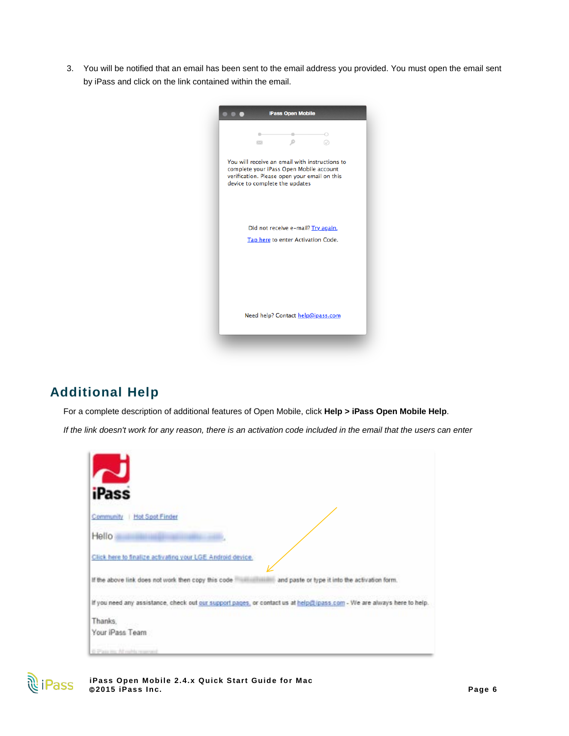3. You will be notified that an email has been sent to the email address you provided. You must open the email sent by iPass and click on the link contained within the email.



# **Additional Help**

For a complete description of additional features of Open Mobile, click **Help > iPass Open Mobile Help**.

*If the link doesn't work for any reason, there is an activation code included in the email that the users can enter*

| iPass                                                                                                                  |  |
|------------------------------------------------------------------------------------------------------------------------|--|
|                                                                                                                        |  |
| Community<br><b>Hot Spot Finder</b>                                                                                    |  |
| Hello                                                                                                                  |  |
| Click here to finalize activating your LGE Android device.                                                             |  |
| If the above link does not work then copy this code<br>and paste or type it into the activation form.                  |  |
| If you need any assistance, check out our support pages, or contact us at help@ipass.com - We are always here to help. |  |
| Thanks.                                                                                                                |  |
| Your iPass Team                                                                                                        |  |
| @ Plain mg All rubb mareved                                                                                            |  |